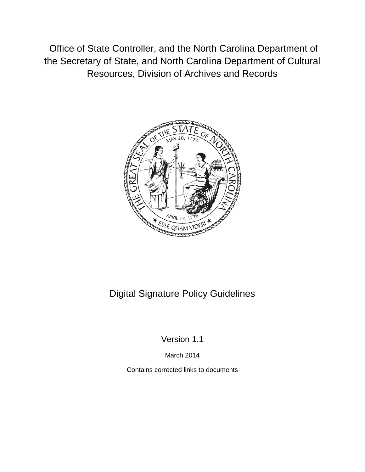Office of State Controller, and the North Carolina Department of the Secretary of State, and North Carolina Department of Cultural Resources, Division of Archives and Records



# Digital Signature Policy Guidelines

Version 1.1

March 2014

Contains corrected links to documents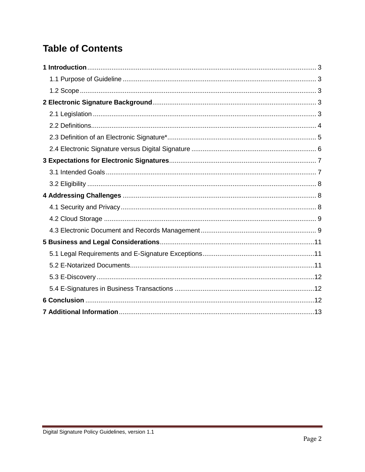# **Table of Contents**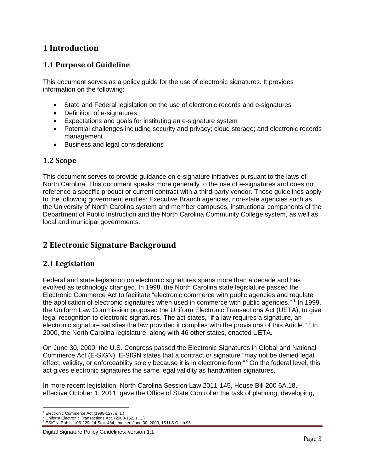## <span id="page-2-0"></span>**1 Introduction**

### <span id="page-2-1"></span>**1.1 Purpose of Guideline**

This document serves as a policy guide for the use of electronic signatures. It provides information on the following:

- State and Federal legislation on the use of electronic records and e-signatures
- Definition of e-signatures
- Expectations and goals for instituting an e-signature system
- Potential challenges including security and privacy; cloud storage; and electronic records management
- Business and legal considerations

#### <span id="page-2-2"></span>**1.2 Scope**

This document serves to provide guidance on e-signature initiatives pursuant to the laws of North Carolina. This document speaks more generally to the use of e-signatures and does not reference a specific product or current contract with a third-party vendor. These guidelines apply to the following government entities: Executive Branch agencies, non-state agencies such as the University of North Carolina system and member campuses, instructional components of the Department of Public Instruction and the North Carolina Community College system, as well as local and municipal governments.

## <span id="page-2-3"></span>**2 Electronic Signature Background**

#### <span id="page-2-4"></span>**2.1 Legislation**

Federal and state legislation on electronic signatures spans more than a decade and has evolved as technology changed. In 1998, the North Carolina state legislature passed the Electronic Commerce Act to facilitate "electronic commerce with public agencies and regulate the application of electronic signatures when used in commerce with public agencies." <sup>[1](#page-2-5)</sup> In 1999, the Uniform Law Commission proposed the Uniform Electronic Transactions Act (UETA), to give legal recognition to electronic signatures. The act states, "if a law requires a signature, an electronic signature satisfies the law provided it complies with the provisions of this Article."<sup>[2](#page-2-6)</sup> In 2000, the North Carolina legislature, along with 46 other states, enacted UETA.

On June 30, 2000, the U.S. Congress passed the Electronic Signatures in Global and National Commerce Act (E-SIGN). E-SIGN states that a contract or signature "may not be denied legal effect, validity, or enforceability solely because it is in electronic form."<sup>[3](#page-2-7)</sup> On the federal level, this act gives electronic signatures the same legal validity as handwritten signatures.

In more recent legislation, North Carolina Session Law 2011-145, House Bill 200 6A.18, effective October 1, 2011, gave the Office of State Controller the task of planning, developing,

 $\overline{\phantom{a}}$ 

<span id="page-2-7"></span><span id="page-2-6"></span>

<span id="page-2-5"></span><sup>&</sup>lt;sup>1</sup> Electronic Commerce Act (1998-127, s. 1.)<br><sup>2</sup> Uniform Electronic Transactions Act. (2000-152, s. 1.)<br><sup>3</sup> ESIGN, Pub.L. 106-229, 14 Stat. 464, enacted June 30, 2000, 15 U.S.C. ch.96

Digital Signature Policy Guidelines, version 1.1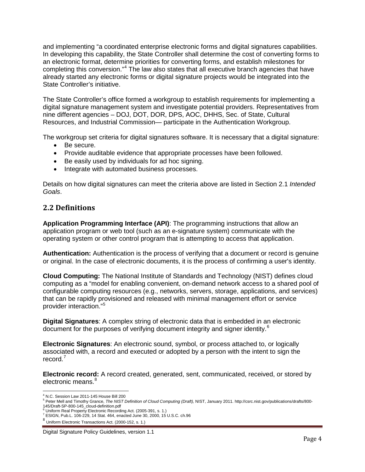and implementing "a coordinated enterprise electronic forms and digital signatures capabilities. In developing this capability, the State Controller shall determine the cost of converting forms to an electronic format, determine priorities for converting forms, and establish milestones for completing this conversion." [4](#page-3-1) The law also states that all executive branch agencies that have already started any electronic forms or digital signature projects would be integrated into the State Controller's initiative.

The State Controller's office formed a workgroup to establish requirements for implementing a digital signature management system and investigate potential providers. Representatives from nine different agencies – DOJ, DOT, DOR, DPS, AOC, DHHS, Sec. of State, Cultural Resources, and Industrial Commission— participate in the Authentication Workgroup.

The workgroup set criteria for digital signatures software. It is necessary that a digital signature:

- Be secure.
- Provide auditable evidence that appropriate processes have been followed.
- Be easily used by individuals for ad hoc signing.
- Integrate with automated business processes.

Details on how digital signatures can meet the criteria above are listed in Section 2.1 *Intended Goals*.

#### <span id="page-3-0"></span>**2.2 Definitions**

**Application Programming Interface (API)**: The programming instructions that allow an application program or web tool (such as an e-signature system) communicate with the operating system or other control program that is attempting to access that application.

**Authentication:** Authentication is the process of verifying that a document or record is genuine or original. In the case of electronic documents, it is the process of confirming a user's identity.

**Cloud Computing:** The National Institute of Standards and Technology (NIST) defines cloud computing as a "model for enabling convenient, on-demand network access to a shared pool of configurable computing resources (e.g., networks, servers, storage, applications, and services) that can be rapidly provisioned and released with minimal management effort or service provider interaction."[5](#page-3-2)

**Digital Signatures**: A complex string of electronic data that is embedded in an electronic document for the purposes of verifying document integrity and signer identity.<sup>[6](#page-3-3)</sup>

**Electronic Signatures**: An electronic sound, symbol, or process attached to, or logically associated with, a record and executed or adopted by a person with the intent to sign the record.[7](#page-3-4)

**Electronic record:** A record created, generated, sent, communicated, received, or stored by electronic means.<sup>[8](#page-3-5)</sup>

 $\overline{\phantom{a}}$ 

<span id="page-3-2"></span><span id="page-3-1"></span><sup>&</sup>lt;sup>4</sup> N.C. Session Law 2011-145 House Bill 200<br><sup>5</sup> Peter Mell and Timothy Grance, *The NIST Definition of Cloud Computing (Draft),* NIST, January 2011. http://csrc.nist.gov/publications/drafts/800-<br>145/Draft-SP-800-145\_cloud

<span id="page-3-4"></span><span id="page-3-3"></span>

<sup>&</sup>lt;sup>6</sup> Uniform Real Property Electronic Recording Act. (2005-391, s. 1.)<br>
<sup>7</sup> ESIGN, Pub.L. 106-229, 14 Stat. 464, enacted June 30, 2000, 15 U.S.C. ch.96<br>  $^8$  Uniform Electronic Transactions Act. (2000-152, s. 1.)

<span id="page-3-5"></span>

Digital Signature Policy Guidelines, version 1.1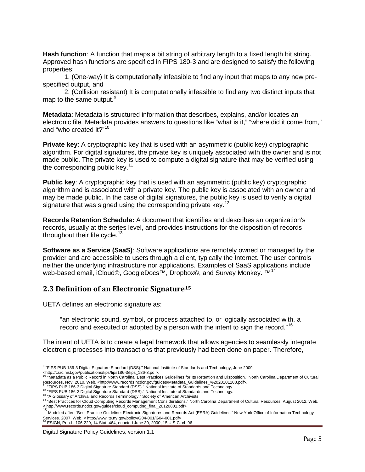**Hash function**: A function that maps a bit string of arbitrary length to a fixed length bit string. Approved hash functions are specified in FIPS 180-3 and are designed to satisfy the following properties:

1. (One-way) It is computationally infeasible to find any input that maps to any new prespecified output, and

2. (Collision resistant) It is computationally infeasible to find any two distinct inputs that map to the same output.<sup>[9](#page-4-1)</sup>

**Metadata**: Metadata is structured information that describes, explains, and/or locates an electronic file. Metadata provides answers to questions like "what is it," "where did it come from," and "who created it?" [10](#page-4-2)

**Private key:** A cryptographic key that is used with an asymmetric (public key) cryptographic algorithm. For digital signatures, the private key is uniquely associated with the owner and is not made public. The private key is used to compute a digital signature that may be verified using the corresponding public key. $11$ 

**Public key:** A cryptographic key that is used with an asymmetric (public key) cryptographic algorithm and is associated with a private key. The public key is associated with an owner and may be made public. In the case of digital signatures, the public key is used to verify a digital signature that was signed using the corresponding private key.<sup>[12](#page-4-4)</sup>

**Records Retention Schedule:** A document that identifies and describes an organization's records, usually at the series level, and provides instructions for the disposition of records throughout their life cycle.<sup>[13](#page-4-5)</sup>

**Software as a Service (SaaS)**: Software applications are remotely owned or managed by the provider and are accessible to users through a client, typically the Internet. The user controls neither the underlying infrastructure nor applications. Examples of SaaS applications include web-based email, iCloud©, GoogleDocs<sup>™</sup>, Dropbox©, and Survey Monkey. <sup>™[14](#page-4-6)</sup>

#### <span id="page-4-0"></span>**2.3 Definition of an Electronic Signature[15](#page-4-7)**

UETA defines an electronic signature as:

"an electronic sound, symbol, or process attached to, or logically associated with, a record and executed or adopted by a person with the intent to sign the record."<sup>[16](#page-4-8)</sup>

The intent of UETA is to create a legal framework that allows agencies to seamlessly integrate electronic processes into transactions that previously had been done on paper. Therefore,

<span id="page-4-8"></span>

Digital Signature Policy Guidelines, version 1.1

<sup>&</sup>lt;sup>9</sup> "FIPS PUB 186-3 Digital Signature Standard (DSS)." National Institute of Standards and Technology, June 2009.  $\overline{\phantom{a}}$ 

<span id="page-4-2"></span><span id="page-4-1"></span>khttp://csrc.nist.gov/publications/fips/fips186-3/fips\_186-3.pdf>. 10 "Metadata as a Public Record in North Carolina: Best Practices Guidelines for Its Retention and Disposition." North Carolina Department of Cultural<br><sup>10</sup>

Resources, Nov. 2010. Web. <http://www.records.ncdcr.gov/guides/Metadata\_Guidelines\_%2020101108.pdf>.<br><sup>11</sup> "FIPS PUB 186-3 Digital Signature Standard (DSS)." National Institute of Standards and Technology.

<span id="page-4-5"></span>

<span id="page-4-4"></span><span id="page-4-3"></span><sup>&</sup>lt;sup>12</sup> FIPS PUB 186-3 Digital Signature Standard (DSS)." National Institute of Standards and Technology.<br><sup>13</sup> "A Glossary of Archival and Records Terminology." Society of American Archivists<br><sup>14</sup> "Best Practices for Cloud Co

<span id="page-4-7"></span><span id="page-4-6"></span><sup>&</sup>lt; http://www.records.ncdcr.gov/guides/cloud\_computing\_final\_20120801.pdf><br><sup>15</sup> Modeled after: "Best Practice Guideline: Electronic Signatures and Records Act (ESRA) Guidelines." New York Office of Information Technology Services. 2007. Web. < http://www.its.ny.gov/policy/G04-001/G04-001.pdf><br><sup>16</sup> ESIGN, Pub.L. 106-229, 14 Stat. 464, enacted June 30, 2000, 15 U.S.C. ch.96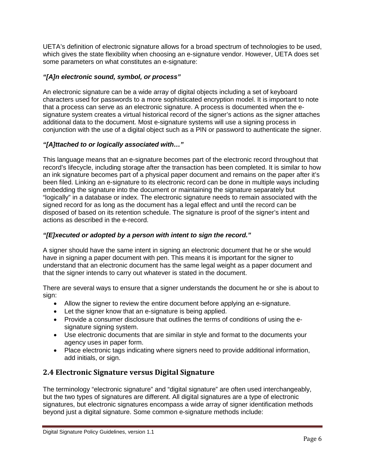UETA's definition of electronic signature allows for a broad spectrum of technologies to be used, which gives the state flexibility when choosing an e-signature vendor. However, UETA does set some parameters on what constitutes an e-signature:

#### *"[A]n electronic sound, symbol, or process"*

An electronic signature can be a wide array of digital objects including a set of keyboard characters used for passwords to a more sophisticated encryption model. It is important to note that a process can serve as an electronic signature. A process is documented when the esignature system creates a virtual historical record of the signer's actions as the signer attaches additional data to the document. Most e-signature systems will use a signing process in conjunction with the use of a digital object such as a PIN or password to authenticate the signer.

#### *"[A]ttached to or logically associated with…"*

This language means that an e-signature becomes part of the electronic record throughout that record's lifecycle, including storage after the transaction has been completed. It is similar to how an ink signature becomes part of a physical paper document and remains on the paper after it's been filed. Linking an e-signature to its electronic record can be done in multiple ways including embedding the signature into the document or maintaining the signature separately but "logically" in a database or index. The electronic signature needs to remain associated with the signed record for as long as the document has a legal effect and until the record can be disposed of based on its retention schedule. The signature is proof of the signer's intent and actions as described in the e-record.

#### *"[E]xecuted or adopted by a person with intent to sign the record."*

A signer should have the same intent in signing an electronic document that he or she would have in signing a paper document with pen. This means it is important for the signer to understand that an electronic document has the same legal weight as a paper document and that the signer intends to carry out whatever is stated in the document.

There are several ways to ensure that a signer understands the document he or she is about to sign:

- Allow the signer to review the entire document before applying an e-signature.
- Let the signer know that an e-signature is being applied.
- Provide a consumer disclosure that outlines the terms of conditions of using the esignature signing system.
- Use electronic documents that are similar in style and format to the documents your agency uses in paper form.
- Place electronic tags indicating where signers need to provide additional information, add initials, or sign.

## <span id="page-5-0"></span>**2.4 Electronic Signature versus Digital Signature**

The terminology "electronic signature" and "digital signature" are often used interchangeably, but the two types of signatures are different. All digital signatures are a type of electronic signatures, but electronic signatures encompass a wide array of signer identification methods beyond just a digital signature. Some common e-signature methods include: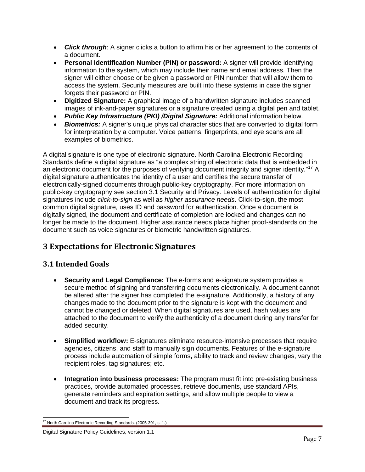- **Click through**: A signer clicks a button to affirm his or her agreement to the contents of a document.
- **Personal Identification Number (PIN) or password:** A signer will provide identifying information to the system, which may include their name and email address. Then the signer will either choose or be given a password or PIN number that will allow them to access the system. Security measures are built into these systems in case the signer forgets their password or PIN.
- **Digitized Signature:** A graphical image of a handwritten signature includes scanned images of ink-and-paper signatures or a signature created using a digital pen and tablet.
- *Public Key Infrastructure (PKI) /Digital Signature:* Additional information below.
- *Biometrics:* A signer's unique physical characteristics that are converted to digital form for interpretation by a computer. Voice patterns, fingerprints, and eye scans are all examples of biometrics.

A digital signature is one type of electronic signature. North Carolina Electronic Recording Standards define a digital signature as "a complex string of electronic data that is embedded in an electronic document for the purposes of verifying document integrity and signer identity."<sup>[17](#page-6-2)</sup> A digital signature authenticates the identity of a user and certifies the secure transfer of electronically-signed documents through public-key cryptography. For more information on public-key cryptography see section 3.1 Security and Privacy. Levels of authentication for digital signatures include *click-to-sign* as well as *higher assurance needs*. Click-to-sign, the most common digital signature, uses ID and password for authentication. Once a document is digitally signed, the document and certificate of completion are locked and changes can no longer be made to the document. Higher assurance needs place higher proof-standards on the document such as voice signatures or biometric handwritten signatures.

## <span id="page-6-0"></span>**3 Expectations for Electronic Signatures**

#### <span id="page-6-1"></span>**3.1 Intended Goals**

- **Security and Legal Compliance:** The e-forms and e-signature system provides a secure method of signing and transferring documents electronically. A document cannot be altered after the signer has completed the e-signature. Additionally, a history of any changes made to the document prior to the signature is kept with the document and cannot be changed or deleted. When digital signatures are used, hash values are attached to the document to verify the authenticity of a document during any transfer for added security.
- **Simplified workflow:** E-signatures eliminate resource-intensive processes that require agencies, citizens, and staff to manually sign documents**.** Features of the e-signature process include automation of simple forms**,** ability to track and review changes, vary the recipient roles, tag signatures; etc.
- **Integration into business processes:** The program must fit into pre-existing business practices, provide automated processes, retrieve documents, use standard APIs, generate reminders and expiration settings, and allow multiple people to view a document and track its progress.

<sup>&</sup>lt;sup>17</sup> North Carolina Electronic Recording Standards. (2005-391, s. 1.) l

<span id="page-6-2"></span>Digital Signature Policy Guidelines, version 1.1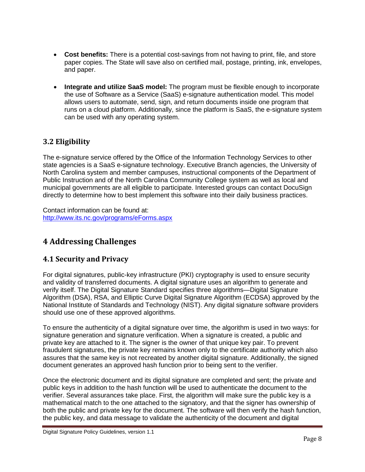- **Cost benefits:** There is a potential cost-savings from not having to print, file, and store paper copies. The State will save also on certified mail, postage, printing, ink, envelopes, and paper.
- **Integrate and utilize SaaS model:** The program must be flexible enough to incorporate the use of Software as a Service (SaaS) e-signature authentication model. This model allows users to automate, send, sign, and return documents inside one program that runs on a cloud platform. Additionally, since the platform is SaaS, the e-signature system can be used with any operating system.

## <span id="page-7-0"></span>**3.2 Eligibility**

The e-signature service offered by the Office of the Information Technology Services to other state agencies is a SaaS e-signature technology. Executive Branch agencies, the University of North Carolina system and member campuses, instructional components of the Department of Public Instruction and of the North Carolina Community College system as well as local and municipal governments are all eligible to participate. Interested groups can contact DocuSign directly to determine how to best implement this software into their daily business practices.

Contact information can be found at: <http://www.its.nc.gov/programs/eForms.aspx>

## <span id="page-7-1"></span>**4 Addressing Challenges**

#### <span id="page-7-2"></span>**4.1 Security and Privacy**

For digital signatures, public-key infrastructure (PKI) cryptography is used to ensure security and validity of transferred documents. A digital signature uses an algorithm to generate and verify itself. The Digital Signature Standard specifies three algorithms—Digital Signature Algorithm (DSA), RSA, and Elliptic Curve Digital Signature Algorithm (ECDSA) approved by the National Institute of Standards and Technology (NIST). Any digital signature software providers should use one of these approved algorithms.

To ensure the authenticity of a digital signature over time, the algorithm is used in two ways: for signature generation and signature verification. When a signature is created, a public and private key are attached to it. The signer is the owner of that unique key pair. To prevent fraudulent signatures, the private key remains known only to the certificate authority which also assures that the same key is not recreated by another digital signature. Additionally, the signed document generates an approved hash function prior to being sent to the verifier.

Once the electronic document and its digital signature are completed and sent; the private and public keys in addition to the hash function will be used to authenticate the document to the verifier. Several assurances take place. First, the algorithm will make sure the public key is a mathematical match to the one attached to the signatory, and that the signer has ownership of both the public and private key for the document. The software will then verify the hash function, the public key, and data message to validate the authenticity of the document and digital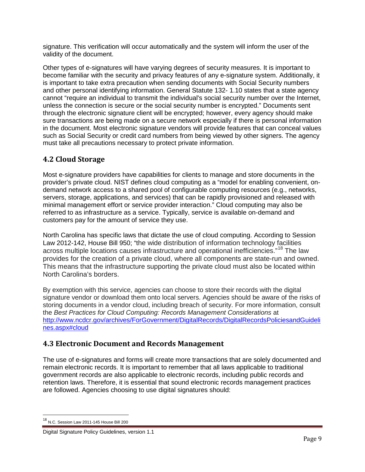signature. This verification will occur automatically and the system will inform the user of the validity of the document.

Other types of e-signatures will have varying degrees of security measures. It is important to become familiar with the security and privacy features of any e-signature system. Additionally, it is important to take extra precaution when sending documents with Social Security numbers and other personal identifying information. General Statute 132- 1.10 states that a state agency cannot "require an individual to transmit the individual's social security number over the Internet, unless the connection is secure or the social security number is encrypted." Documents sent through the electronic signature client will be encrypted; however, every agency should make sure transactions are being made on a secure network especially if there is personal information in the document. Most electronic signature vendors will provide features that can conceal values such as Social Security or credit card numbers from being viewed by other signers. The agency must take all precautions necessary to protect private information.

#### <span id="page-8-0"></span>**4.2 Cloud Storage**

Most e-signature providers have capabilities for clients to manage and store documents in the provider's private cloud. NIST defines cloud computing as a "model for enabling convenient, ondemand network access to a shared pool of configurable computing resources (e.g., networks, servers, storage, applications, and services) that can be rapidly provisioned and released with minimal management effort or service provider interaction." Cloud computing may also be referred to as infrastructure as a service. Typically, service is available on-demand and customers pay for the amount of service they use.

North Carolina has specific laws that dictate the use of cloud computing. According to Session Law 2012-142, House Bill 950; "the wide distribution of information technology facilities across multiple locations causes infrastructure and operational inefficiencies."<sup>[18](#page-8-2)</sup> The law provides for the creation of a private cloud, where all components are state-run and owned. This means that the infrastructure supporting the private cloud must also be located within North Carolina's borders.

By exemption with this service, agencies can choose to store their records with the digital signature vendor or download them onto local servers. Agencies should be aware of the risks of storing documents in a vendor cloud, including breach of security. For more information, consult the *Best Practices for Cloud Computing: Records Management Considerations* at [http://www.ncdcr.gov/archives/ForGovernment/DigitalRecords/DigitalRecordsPoliciesandGuideli](http://www.ncdcr.gov/archives/ForGovernment/DigitalRecords/DigitalRecordsPoliciesandGuidelines.aspx%23cloud) [nes.aspx#cloud](http://www.ncdcr.gov/archives/ForGovernment/DigitalRecords/DigitalRecordsPoliciesandGuidelines.aspx%23cloud)

## <span id="page-8-1"></span>**4.3 Electronic Document and Records Management**

The use of e-signatures and forms will create more transactions that are solely documented and remain electronic records. It is important to remember that all laws applicable to traditional government records are also applicable to electronic records, including public records and retention laws. Therefore, it is essential that sound electronic records management practices are followed. Agencies choosing to use digital signatures should:

 $\overline{\phantom{a}}$ 

<span id="page-8-2"></span> $^{18}$  N.C. Session Law 2011-145 House Bill 200

Digital Signature Policy Guidelines, version 1.1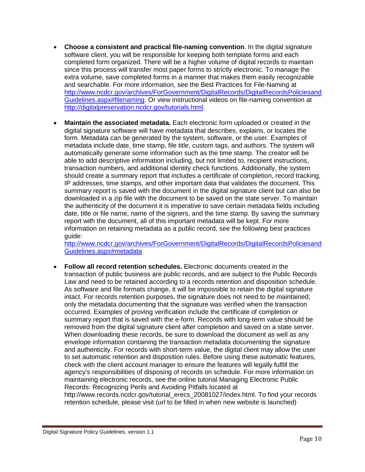- **Choose a consistent and practical file-naming convention**. In the digital signature software client, you will be responsible for keeping both template forms and each completed form organized. There will be a higher volume of digital records to maintain since this process will transfer most paper forms to strictly electronic. To manage the extra volume, save completed forms in a manner that makes them easily recognizable and searchable. For more information, see the Best Practices for File-Naming at [http://www.ncdcr.gov/archives/ForGovernment/DigitalRecords/DigitalRecordsPoliciesand](http://www.ncdcr.gov/archives/ForGovernment/DigitalRecords/DigitalRecordsPoliciesandGuidelines.aspx%23filenaming) [Guidelines.aspx#filenaming.](http://www.ncdcr.gov/archives/ForGovernment/DigitalRecords/DigitalRecordsPoliciesandGuidelines.aspx%23filenaming) Or view instructional videos on file-naming convention at [http://digitalpreservation.ncdcr.gov/tutorials.html.](http://digitalpreservation.ncdcr.gov/tutorials.html)
- **Maintain the associated metadata.** Each electronic form uploaded or created in the digital signature software will have metadata that describes, explains, or locates the form. Metadata can be generated by the system, software, or the user. Examples of metadata include date, time stamp, file title, custom tags, and authors. The system will automatically generate some information such as the time stamp. The creator will be able to add descriptive information including, but not limited to, recipient instructions, transaction numbers, and additional identity check functions. Additionally, the system should create a summary report that includes a certificate of completion, record tracking, IP addresses, time stamps, and other important data that validates the document. This summary report is saved with the document in the digital signature client but can also be downloaded in a zip file with the document to be saved on the state server. To maintain the authenticity of the document it is imperative to save certain metadata fields including date, title or file name, name of the signers, and the time stamp. By saving the summary report with the document, all of this important metadata will be kept. For more information on retaining metadata as a public record, see the following best practices guide:

[http://www.ncdcr.gov/archives/ForGovernment/DigitalRecords/DigitalRecordsPoliciesand](http://www.ncdcr.gov/archives/ForGovernment/DigitalRecords/DigitalRecordsPoliciesandGuidelines.aspx%23metadata) [Guidelines.aspx#metadata](http://www.ncdcr.gov/archives/ForGovernment/DigitalRecords/DigitalRecordsPoliciesandGuidelines.aspx%23metadata)

• **Follow all record retention schedules.** Electronic documents created in the transaction of public business are public records, and are subject to the Public Records Law and need to be retained according to a records retention and disposition schedule. As software and file formats change, it will be impossible to retain the digital signature intact. For records retention purposes, the signature does not need to be maintained; only the metadata documenting that the signature was verified when the transaction occurred. Examples of proving verification include the certificate of completion or summary report that is saved with the e-form. Records with long-term value should be removed from the digital signature client after completion and saved on a state server. When downloading these records, be sure to download the document as well as any envelope information containing the transaction metadata documenting the signature and authenticity. For records with short-term value, the digital client may allow the user to set automatic retention and disposition rules. Before using these automatic features, check with the client account manager to ensure the features will legally fulfill the agency's responsibilities of disposing of records on schedule. For more information on maintaining electronic records, see the online tutorial Managing Electronic Public Records: Recognizing Perils and Avoiding Pitfalls located at

[http://www.records.ncdcr.gov/tutorial\\_erecs\\_20081027/index.html.](http://www.records.ncdcr.gov/tutorial_erecs_20081027/index.html) To find your records retention schedule, please visit (url to be filled in when new website is launched)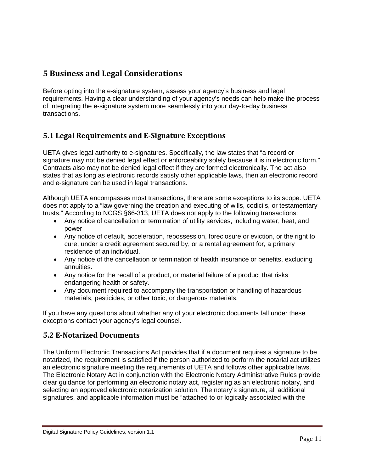## <span id="page-10-0"></span>**5 Business and Legal Considerations**

Before opting into the e-signature system, assess your agency's business and legal requirements. Having a clear understanding of your agency's needs can help make the process of integrating the e-signature system more seamlessly into your day-to-day business transactions.

## <span id="page-10-1"></span>**5.1 Legal Requirements and E-Signature Exceptions**

UETA gives legal authority to e-signatures. Specifically, the law states that "a record or signature may not be denied legal effect or enforceability solely because it is in electronic form." Contracts also may not be denied legal effect if they are formed electronically. The act also states that as long as electronic records satisfy other applicable laws, then an electronic record and e-signature can be used in legal transactions.

Although UETA encompasses most transactions; there are some exceptions to its scope. UETA does not apply to a "law governing the creation and executing of wills, codicils, or testamentary trusts." According to NCGS §66-313, UETA does not apply to the following transactions:

- Any notice of cancellation or termination of utility services, including water, heat, and power
- Any notice of default, acceleration, repossession, foreclosure or eviction, or the right to cure, under a credit agreement secured by, or a rental agreement for, a primary residence of an individual.
- Any notice of the cancellation or termination of health insurance or benefits, excluding annuities.
- Any notice for the recall of a product, or material failure of a product that risks endangering health or safety.
- Any document required to accompany the transportation or handling of hazardous materials, pesticides, or other toxic, or dangerous materials.

If you have any questions about whether any of your electronic documents fall under these exceptions contact your agency's legal counsel.

#### <span id="page-10-2"></span>**5.2 E-Notarized Documents**

The Uniform Electronic Transactions Act provides that if a document requires a signature to be notarized, the requirement is satisfied if the person authorized to perform the notarial act utilizes an electronic signature meeting the requirements of UETA and follows other applicable laws. The Electronic Notary Act in conjunction with the Electronic Notary Administrative Rules provide clear guidance for performing an electronic notary act, registering as an electronic notary, and selecting an approved electronic notarization solution. The notary's signature, all additional signatures, and applicable information must be "attached to or logically associated with the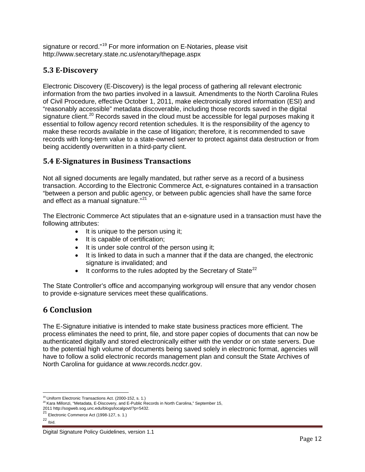signature or record."[19](#page-11-3) For more information on E-Notaries, please visit http://www.secretary.state.nc.us/enotary/thepage.aspx

#### <span id="page-11-0"></span>**5.3 E-Discovery**

Electronic Discovery (E-Discovery) is the legal process of gathering all relevant electronic information from the two parties involved in a lawsuit. Amendments to the North Carolina Rules of Civil Procedure, effective October 1, 2011, make electronically stored information (ESI) and "reasonably accessible" metadata discoverable, including those records saved in the digital signature client.<sup>[20](#page-11-4)</sup> Records saved in the cloud must be accessible for legal purposes making it essential to follow agency record retention schedules. It is the responsibility of the agency to make these records available in the case of litigation; therefore, it is recommended to save records with long-term value to a state-owned server to protect against data destruction or from being accidently overwritten in a third-party client.

#### <span id="page-11-1"></span>**5.4 E-Signatures in Business Transactions**

Not all signed documents are legally mandated, but rather serve as a record of a business transaction. According to the Electronic Commerce Act, e-signatures contained in a transaction "between a person and public agency, or between public agencies shall have the same force and effect as a manual signature."<sup>[21](#page-11-5)</sup>

The Electronic Commerce Act stipulates that an e-signature used in a transaction must have the following attributes:

- It is unique to the person using it;
- It is capable of certification;
- It is under sole control of the person using it;
- It is linked to data in such a manner that if the data are changed, the electronic signature is invalidated; and
- $\bullet$  It conforms to the rules adopted by the Secretary of State<sup>[22](#page-11-6)</sup>

The State Controller's office and accompanying workgroup will ensure that any vendor chosen to provide e-signature services meet these qualifications.

## <span id="page-11-2"></span>**6 Conclusion**

The E-Signature initiative is intended to make state business practices more efficient. The process eliminates the need to print, file, and store paper copies of documents that can now be authenticated digitally and stored electronically either with the vendor or on state servers. Due to the potential high volume of documents being saved solely in electronic format, agencies will have to follow a solid electronic records management plan and consult the State Archives of North Carolina for guidance at www.records.ncdcr.gov.

l

<span id="page-11-3"></span> $^{19}$  Uniform Electronic Transactions Act. (2000-152, s. 1.)<br><sup>20</sup> Kara Millonzi, "Metadata, E-Discovery, and E-Public Records in North Carolina," September 15,

<span id="page-11-4"></span><sup>2011</sup> http://sogweb.sog.unc.edu/blogs/localgovt/?p=5432.<br><sup>21</sup> Electronic Commerce Act (1998-127, s. 1.)

<span id="page-11-6"></span><span id="page-11-5"></span> $\overline{22}$  Ibid.

Digital Signature Policy Guidelines, version 1.1